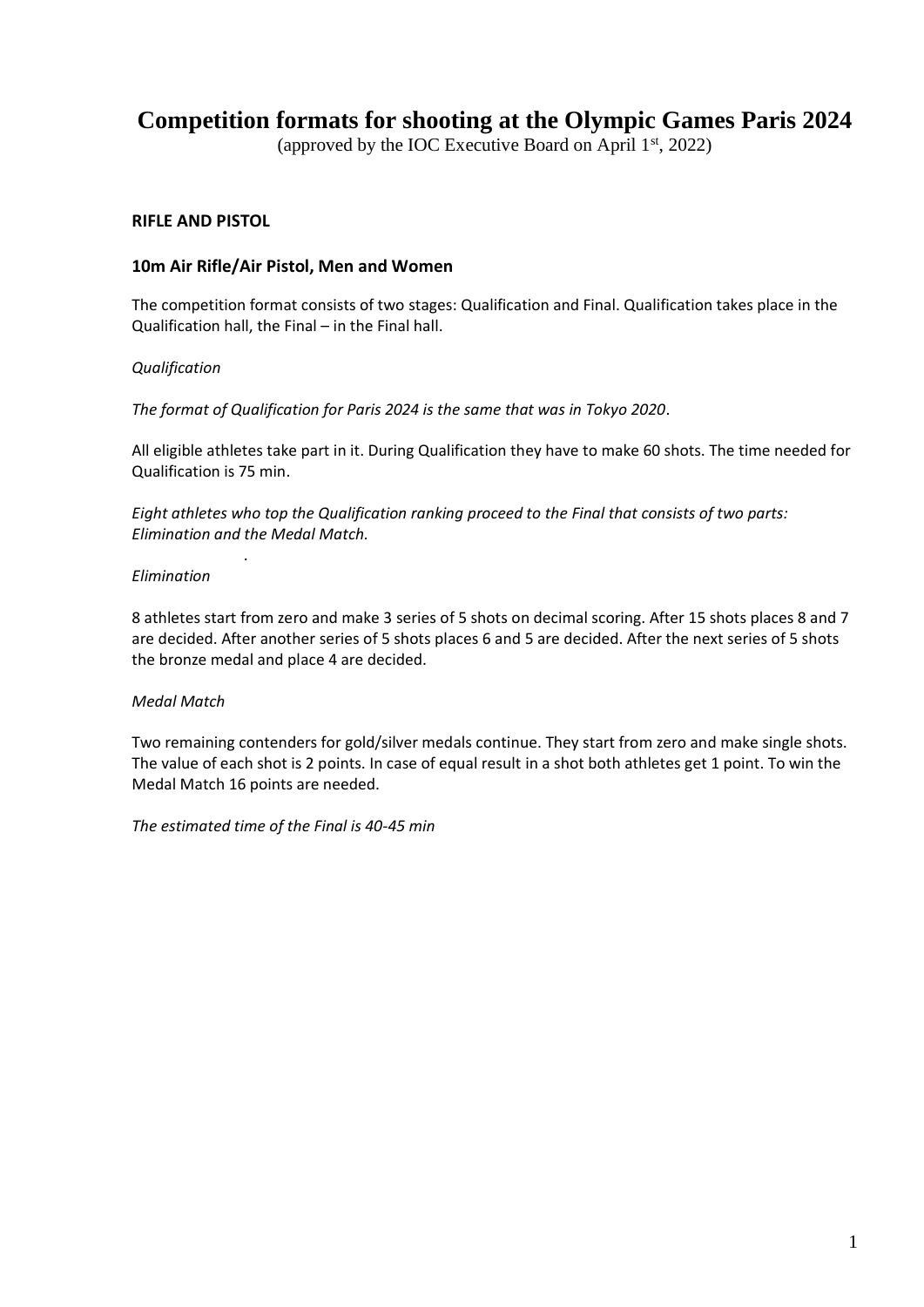# **Competition formats for shooting at the Olympic Games Paris 2024**

(approved by the IOC Executive Board on April 1st, 2022)

# **RIFLE AND PISTOL**

# **10m Air Rifle/Air Pistol, Men and Women**

The competition format consists of two stages: Qualification and Final. Qualification takes place in the Qualification hall, the Final – in the Final hall.

#### *Qualification*

*The format of Qualification for Paris 2024 is the same that was in Tokyo 2020*.

All eligible athletes take part in it. During Qualification they have to make 60 shots. The time needed for Qualification is 75 min.

*Eight athletes who top the Qualification ranking proceed to the Final that consists of two parts: Elimination and the Medal Match.*

#### *Elimination*

.

8 athletes start from zero and make 3 series of 5 shots on decimal scoring. After 15 shots places 8 and 7 are decided. After another series of 5 shots places 6 and 5 are decided. After the next series of 5 shots the bronze medal and place 4 are decided.

# *Medal Match*

Two remaining contenders for gold/silver medals continue. They start from zero and make single shots. The value of each shot is 2 points. In case of equal result in a shot both athletes get 1 point. To win the Medal Match 16 points are needed.

*The estimated time of the Final is 40-45 min*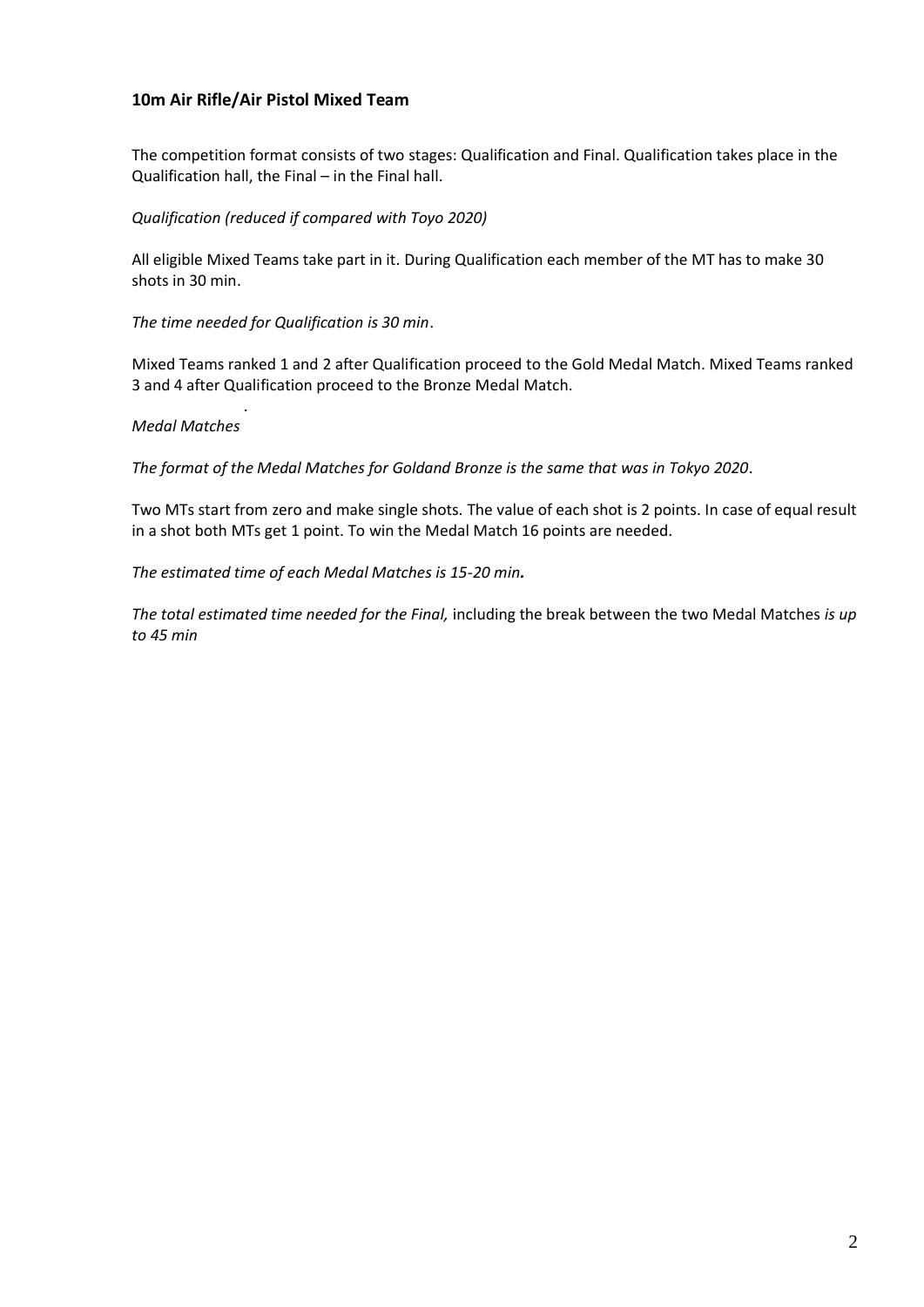# **10m Air Rifle/Air Pistol Mixed Team**

The competition format consists of two stages: Qualification and Final. Qualification takes place in the Qualification hall, the Final – in the Final hall.

## *Qualification (reduced if compared with Toyo 2020)*

All eligible Mixed Teams take part in it. During Qualification each member of the MT has to make 30 shots in 30 min.

*The time needed for Qualification is 30 min*.

Mixed Teams ranked 1 and 2 after Qualification proceed to the Gold Medal Match. Mixed Teams ranked 3 and 4 after Qualification proceed to the Bronze Medal Match.

#### . *Medal Matches*

*The format of the Medal Matches for Goldand Bronze is the same that was in Tokyo 2020*.

Two MTs start from zero and make single shots. The value of each shot is 2 points. In case of equal result in a shot both MTs get 1 point. To win the Medal Match 16 points are needed.

*The estimated time of each Medal Matches is 15-20 min.*

*The total estimated time needed for the Final,* including the break between the two Medal Matches *is up to 45 min*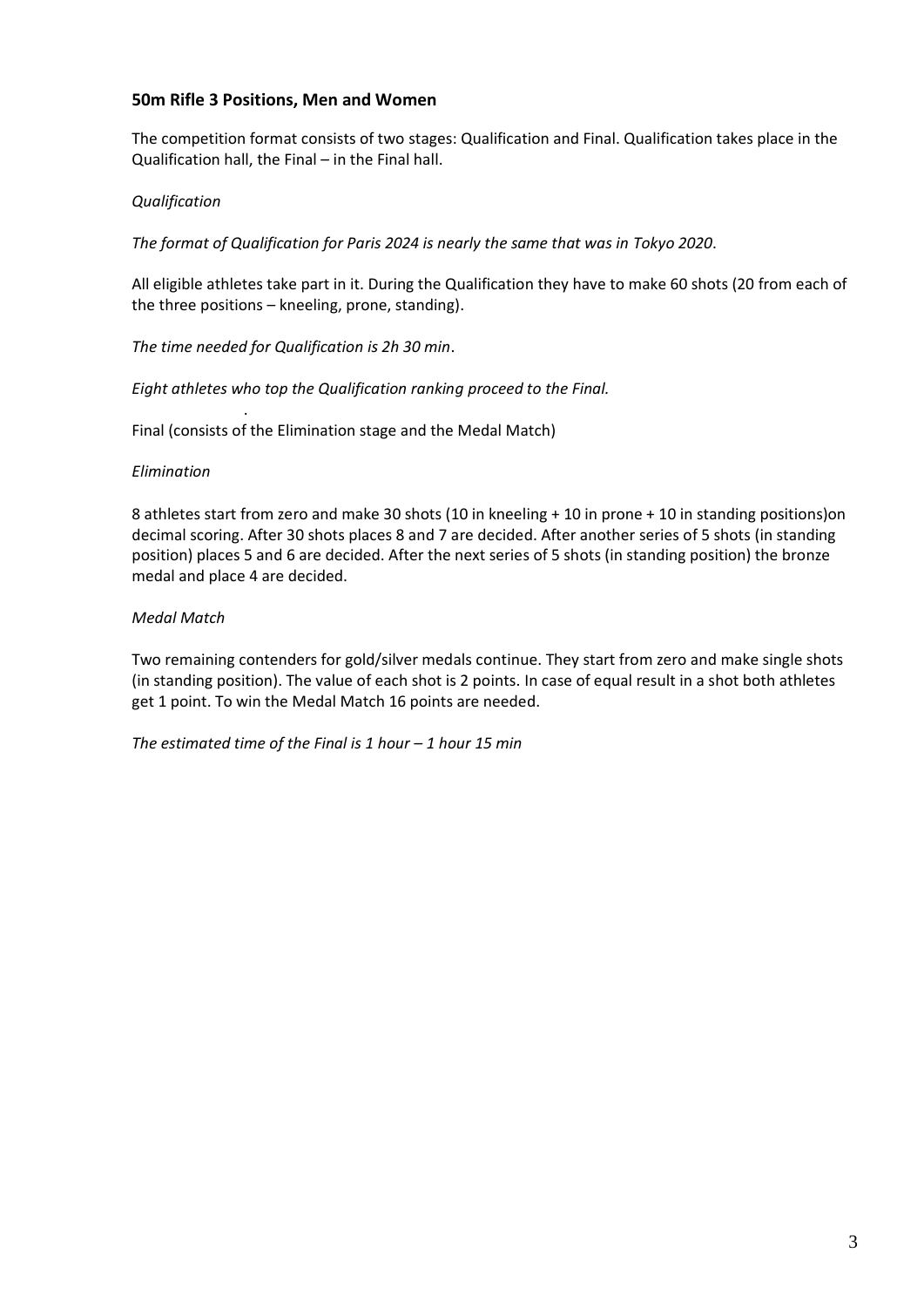# **50m Rifle 3 Positions, Men and Women**

The competition format consists of two stages: Qualification and Final. Qualification takes place in the Qualification hall, the Final – in the Final hall.

## *Qualification*

*The format of Qualification for Paris 2024 is nearly the same that was in Tokyo 2020*.

All eligible athletes take part in it. During the Qualification they have to make 60 shots (20 from each of the three positions – kneeling, prone, standing).

*The time needed for Qualification is 2h 30 min*.

.

*Eight athletes who top the Qualification ranking proceed to the Final.*

Final (consists of the Elimination stage and the Medal Match)

#### *Elimination*

8 athletes start from zero and make 30 shots (10 in kneeling + 10 in prone + 10 in standing positions)on decimal scoring. After 30 shots places 8 and 7 are decided. After another series of 5 shots (in standing position) places 5 and 6 are decided. After the next series of 5 shots (in standing position) the bronze medal and place 4 are decided.

#### *Medal Match*

Two remaining contenders for gold/silver medals continue. They start from zero and make single shots (in standing position). The value of each shot is 2 points. In case of equal result in a shot both athletes get 1 point. To win the Medal Match 16 points are needed.

*The estimated time of the Final is 1 hour – 1 hour 15 min*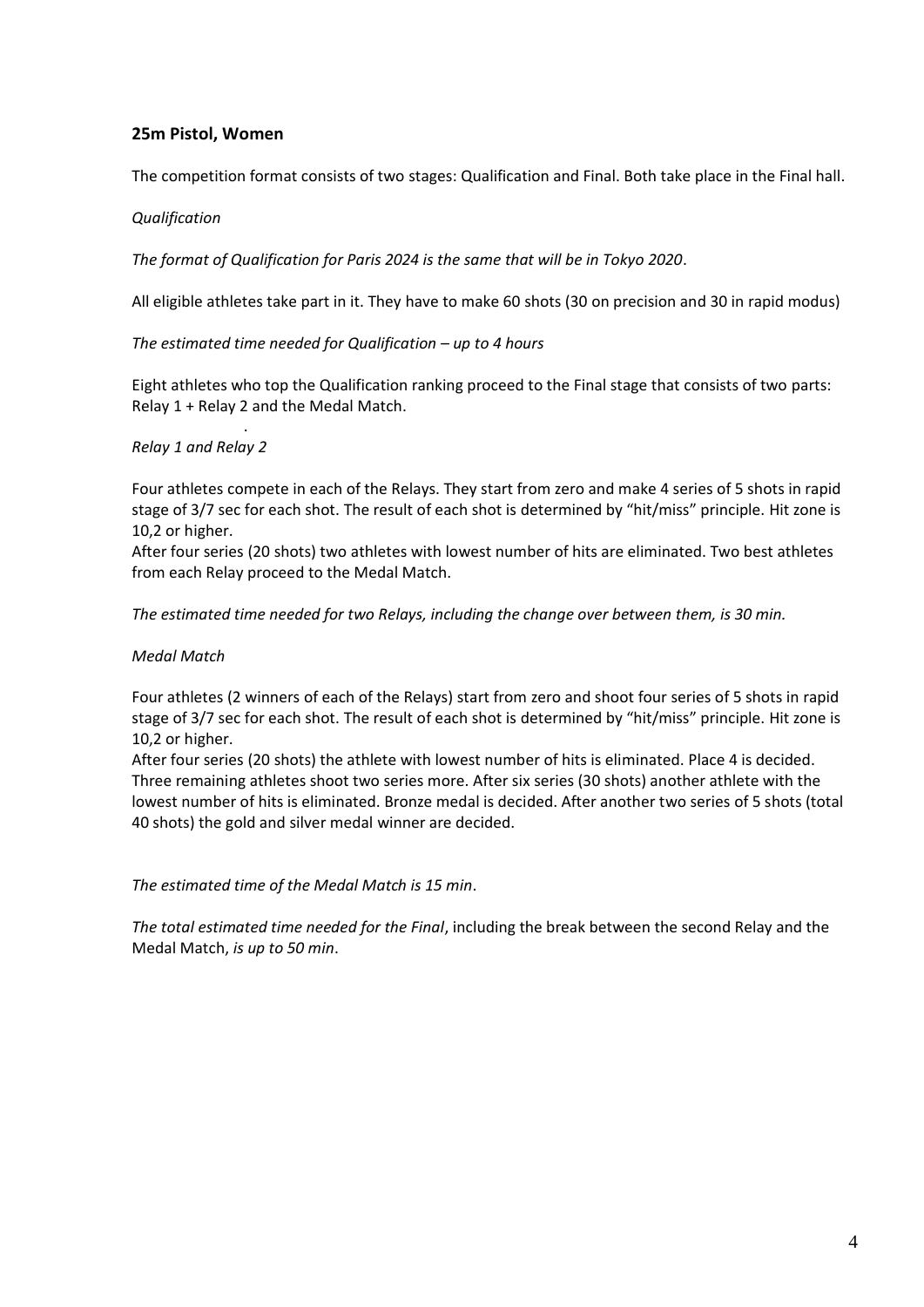# **25m Pistol, Women**

The competition format consists of two stages: Qualification and Final. Both take place in the Final hall.

#### *Qualification*

*The format of Qualification for Paris 2024 is the same that will be in Tokyo 2020*.

All eligible athletes take part in it. They have to make 60 shots (30 on precision and 30 in rapid modus)

#### *The estimated time needed for Qualification – up to 4 hours*

Eight athletes who top the Qualification ranking proceed to the Final stage that consists of two parts: Relay 1 + Relay 2 and the Medal Match.

#### *Relay 1 and Relay 2*

.

Four athletes compete in each of the Relays. They start from zero and make 4 series of 5 shots in rapid stage of 3/7 sec for each shot. The result of each shot is determined by "hit/miss" principle. Hit zone is 10,2 or higher.

After four series (20 shots) two athletes with lowest number of hits are eliminated. Two best athletes from each Relay proceed to the Medal Match.

*The estimated time needed for two Relays, including the change over between them, is 30 min.*

#### *Medal Match*

Four athletes (2 winners of each of the Relays) start from zero and shoot four series of 5 shots in rapid stage of 3/7 sec for each shot. The result of each shot is determined by "hit/miss" principle. Hit zone is 10,2 or higher.

After four series (20 shots) the athlete with lowest number of hits is eliminated. Place 4 is decided. Three remaining athletes shoot two series more. After six series (30 shots) another athlete with the lowest number of hits is eliminated. Bronze medal is decided. After another two series of 5 shots (total 40 shots) the gold and silver medal winner are decided.

*The estimated time of the Medal Match is 15 min*.

*The total estimated time needed for the Final*, including the break between the second Relay and the Medal Match, *is up to 50 min*.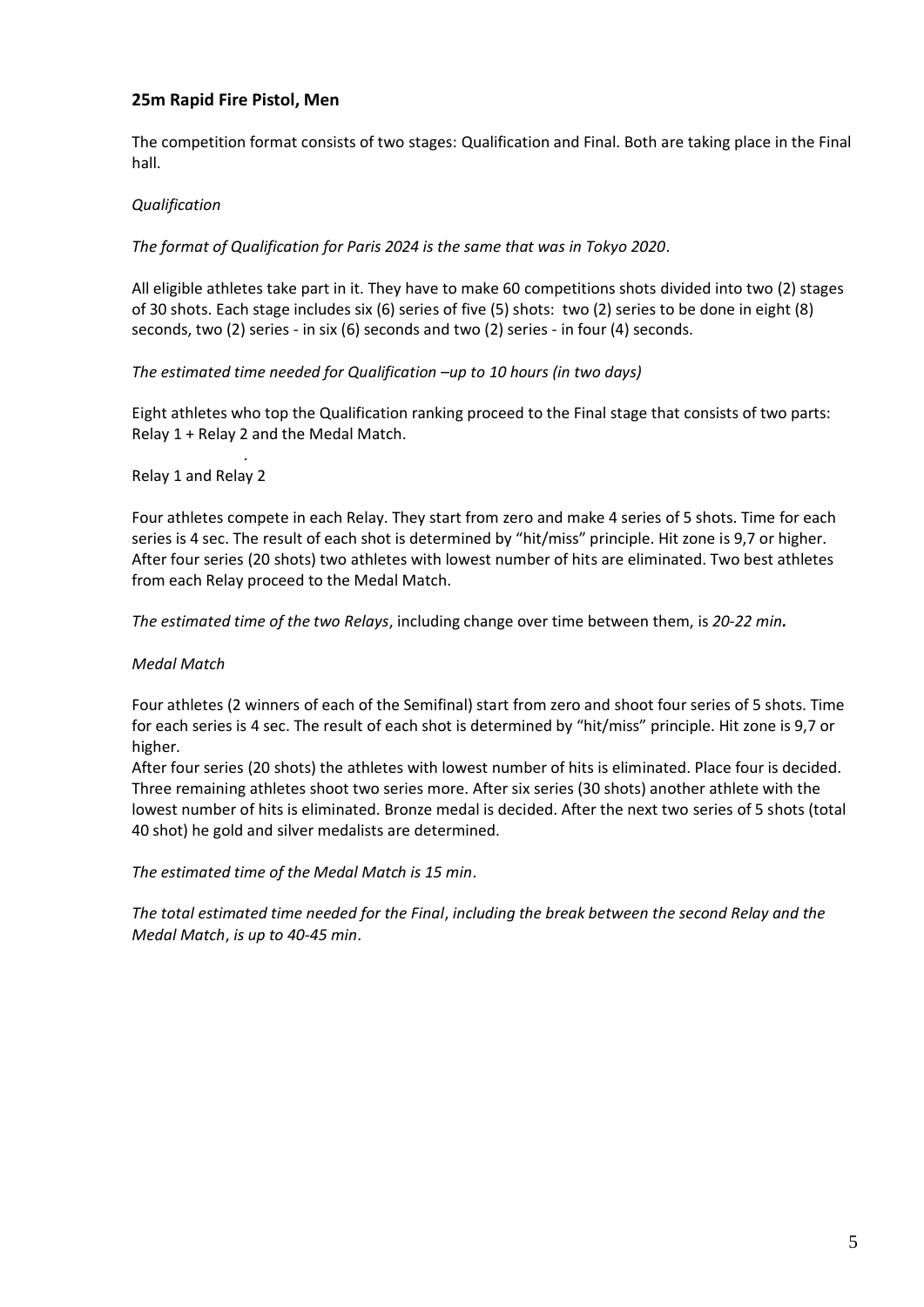# **25m Rapid Fire Pistol, Men**

The competition format consists of two stages: Qualification and Final. Both are taking place in the Final hall.

## *Qualification*

*The format of Qualification for Paris 2024 is the same that was in Tokyo 2020*.

All eligible athletes take part in it. They have to make 60 competitions shots divided into two (2) stages of 30 shots. Each stage includes six (6) series of five (5) shots: two (2) series to be done in eight (8) seconds, two (2) series - in six (6) seconds and two (2) series - in four (4) seconds.

*The estimated time needed for Qualification –up to 10 hours (in two days)*

Eight athletes who top the Qualification ranking proceed to the Final stage that consists of two parts: Relay 1 + Relay 2 and the Medal Match.

#### Relay 1 and Relay 2

.

Four athletes compete in each Relay. They start from zero and make 4 series of 5 shots. Time for each series is 4 sec. The result of each shot is determined by "hit/miss" principle. Hit zone is 9,7 or higher. After four series (20 shots) two athletes with lowest number of hits are eliminated. Two best athletes from each Relay proceed to the Medal Match.

*The estimated time of the two Relays*, including change over time between them, is *20-22 min.*

#### *Medal Match*

Four athletes (2 winners of each of the Semifinal) start from zero and shoot four series of 5 shots. Time for each series is 4 sec. The result of each shot is determined by "hit/miss" principle. Hit zone is 9,7 or higher.

After four series (20 shots) the athletes with lowest number of hits is eliminated. Place four is decided. Three remaining athletes shoot two series more. After six series (30 shots) another athlete with the lowest number of hits is eliminated. Bronze medal is decided. After the next two series of 5 shots (total 40 shot) he gold and silver medalists are determined.

*The estimated time of the Medal Match is 15 min*.

*The total estimated time needed for the Final*, *including the break between the second Relay and the Medal Match*, *is up to 40-45 min*.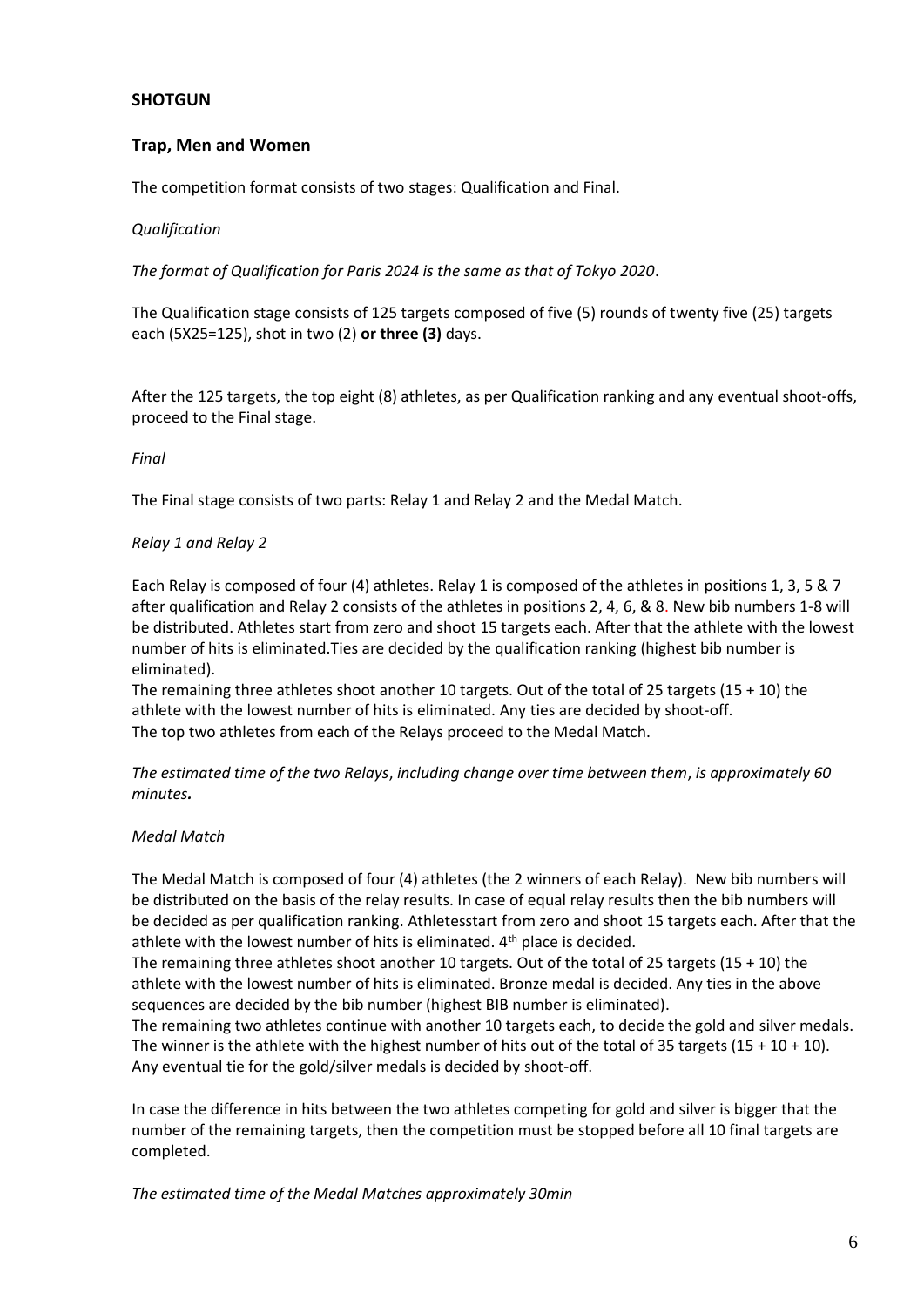# **SHOTGUN**

# **Trap, Men and Women**

The competition format consists of two stages: Qualification and Final.

#### *Qualification*

*The format of Qualification for Paris 2024 is the same as that of Tokyo 2020*.

The Qualification stage consists of 125 targets composed of five (5) rounds of twenty five (25) targets each (5X25=125), shot in two (2) **or three (3)** days.

After the 125 targets, the top eight (8) athletes, as per Qualification ranking and any eventual shoot-offs, proceed to the Final stage.

#### *Final*

The Final stage consists of two parts: Relay 1 and Relay 2 and the Medal Match.

#### *Relay 1 and Relay 2*

Each Relay is composed of four (4) athletes. Relay 1 is composed of the athletes in positions 1, 3, 5 & 7 after qualification and Relay 2 consists of the athletes in positions 2, 4, 6, & 8. New bib numbers 1-8 will be distributed. Athletes start from zero and shoot 15 targets each. After that the athlete with the lowest number of hits is eliminated.Ties are decided by the qualification ranking (highest bib number is eliminated).

The remaining three athletes shoot another 10 targets. Out of the total of 25 targets (15 + 10) the athlete with the lowest number of hits is eliminated. Any ties are decided by shoot-off. The top two athletes from each of the Relays proceed to the Medal Match.

*The estimated time of the two Relays*, *including change over time between them*, *is approximately 60 minutes.*

#### *Medal Match*

The Medal Match is composed of four (4) athletes (the 2 winners of each Relay). New bib numbers will be distributed on the basis of the relay results. In case of equal relay results then the bib numbers will be decided as per qualification ranking. Athletesstart from zero and shoot 15 targets each. After that the athlete with the lowest number of hits is eliminated. 4<sup>th</sup> place is decided.

The remaining three athletes shoot another 10 targets. Out of the total of 25 targets (15 + 10) the athlete with the lowest number of hits is eliminated. Bronze medal is decided. Any ties in the above sequences are decided by the bib number (highest BIB number is eliminated).

The remaining two athletes continue with another 10 targets each, to decide the gold and silver medals. The winner is the athlete with the highest number of hits out of the total of 35 targets (15 + 10 + 10). Any eventual tie for the gold/silver medals is decided by shoot-off.

In case the difference in hits between the two athletes competing for gold and silver is bigger that the number of the remaining targets, then the competition must be stopped before all 10 final targets are completed.

*The estimated time of the Medal Matches approximately 30min*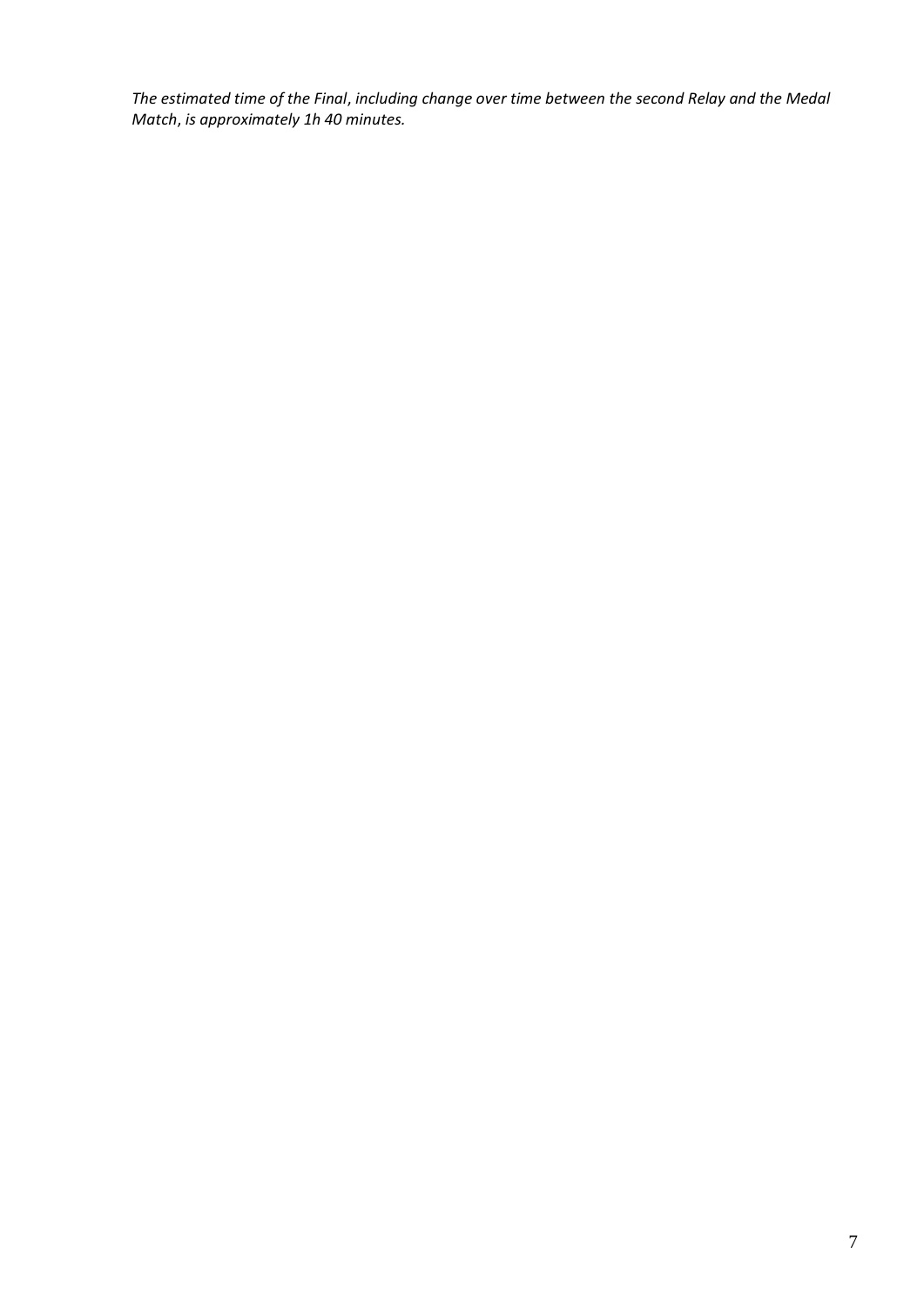*The estimated time of the Final*, *including change over time between the second Relay and the Medal Match*, *is approximately 1h 40 minutes.*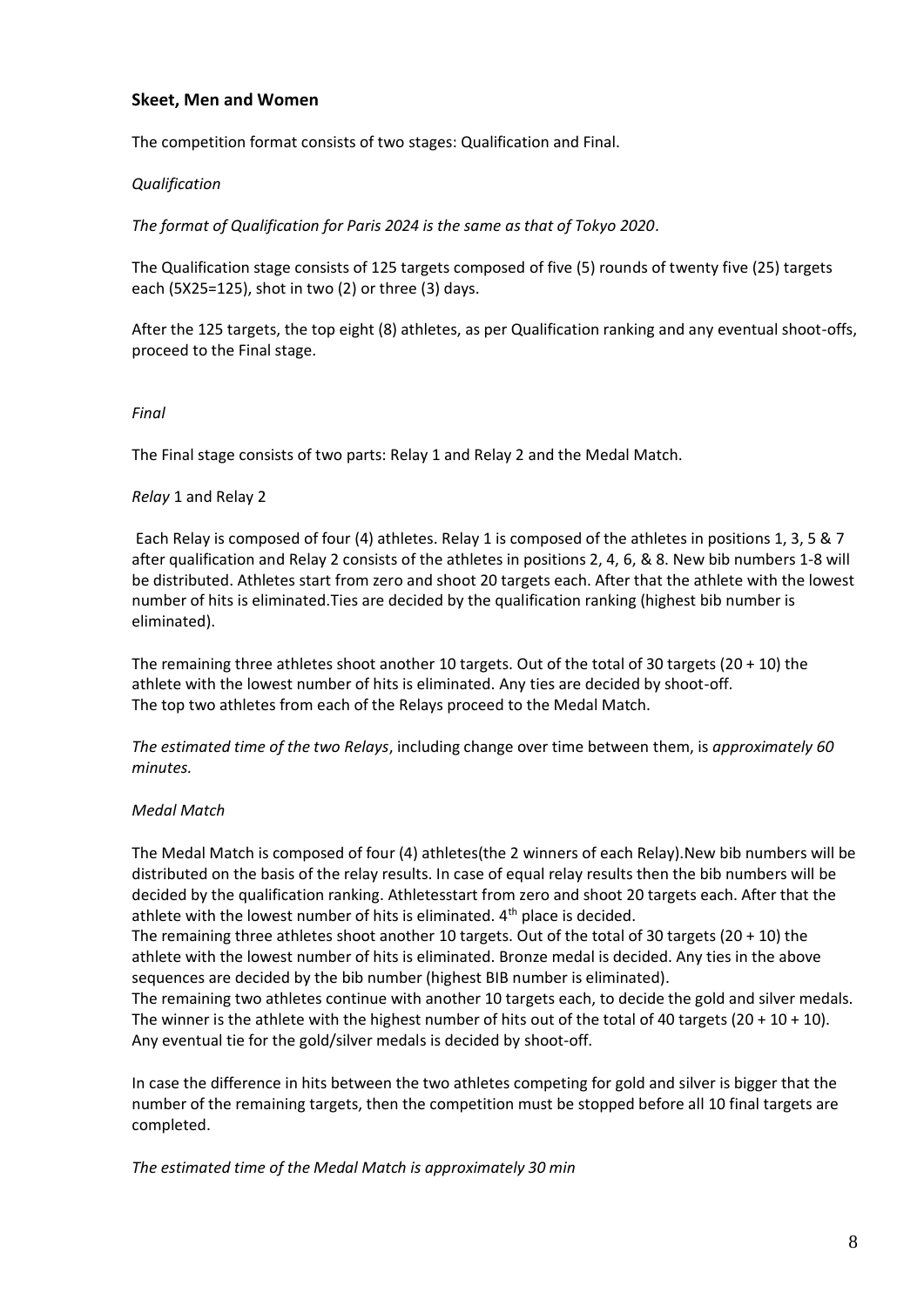# **Skeet, Men and Women**

The competition format consists of two stages: Qualification and Final.

#### *Qualification*

*The format of Qualification for Paris 2024 is the same as that of Tokyo 2020*.

The Qualification stage consists of 125 targets composed of five (5) rounds of twenty five (25) targets each (5X25=125), shot in two (2) or three (3) days.

After the 125 targets, the top eight (8) athletes, as per Qualification ranking and any eventual shoot-offs, proceed to the Final stage.

#### *Final*

The Final stage consists of two parts: Relay 1 and Relay 2 and the Medal Match.

#### *Relay* 1 and Relay 2

Each Relay is composed of four (4) athletes. Relay 1 is composed of the athletes in positions 1, 3, 5 & 7 after qualification and Relay 2 consists of the athletes in positions 2, 4, 6, & 8. New bib numbers 1-8 will be distributed. Athletes start from zero and shoot 20 targets each. After that the athlete with the lowest number of hits is eliminated.Ties are decided by the qualification ranking (highest bib number is eliminated).

The remaining three athletes shoot another 10 targets. Out of the total of 30 targets (20 + 10) the athlete with the lowest number of hits is eliminated. Any ties are decided by shoot-off. The top two athletes from each of the Relays proceed to the Medal Match.

*The estimated time of the two Relays*, including change over time between them, is *approximately 60 minutes.*

# *Medal Match*

The Medal Match is composed of four (4) athletes(the 2 winners of each Relay).New bib numbers will be distributed on the basis of the relay results. In case of equal relay results then the bib numbers will be decided by the qualification ranking. Athletesstart from zero and shoot 20 targets each. After that the athlete with the lowest number of hits is eliminated. 4<sup>th</sup> place is decided.

The remaining three athletes shoot another 10 targets. Out of the total of 30 targets (20 + 10) the athlete with the lowest number of hits is eliminated. Bronze medal is decided. Any ties in the above sequences are decided by the bib number (highest BIB number is eliminated).

The remaining two athletes continue with another 10 targets each, to decide the gold and silver medals. The winner is the athlete with the highest number of hits out of the total of 40 targets ( $20 + 10 + 10$ ). Any eventual tie for the gold/silver medals is decided by shoot-off.

In case the difference in hits between the two athletes competing for gold and silver is bigger that the number of the remaining targets, then the competition must be stopped before all 10 final targets are completed.

*The estimated time of the Medal Match is approximately 30 min*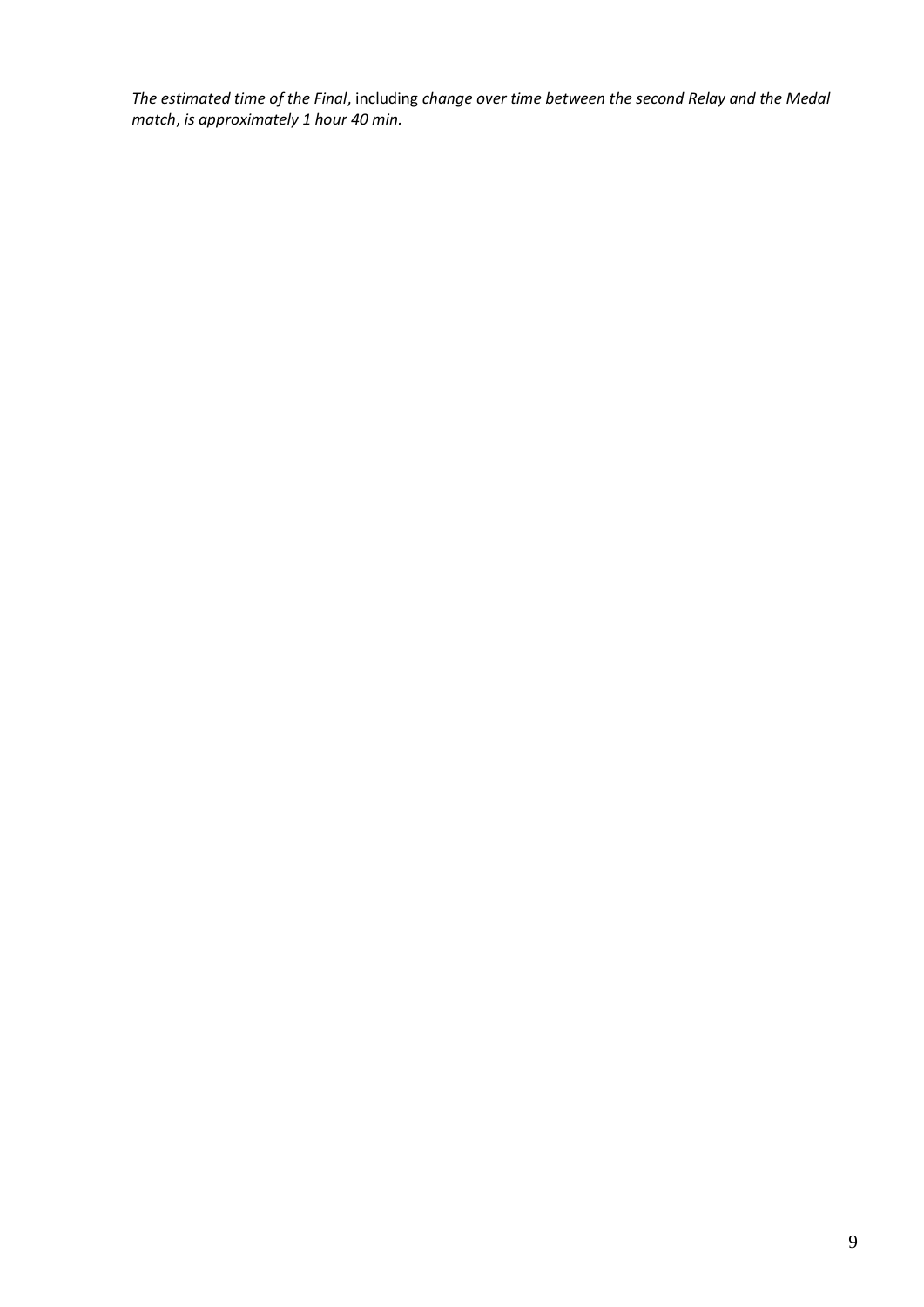*The estimated time of the Final*, including *change over time between the second Relay and the Medal match*, *is approximately 1 hour 40 min.*